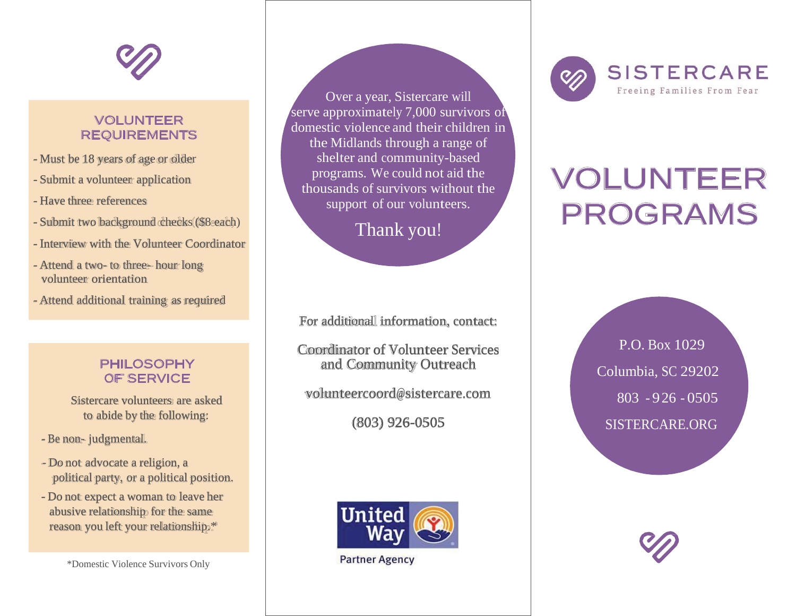

## VOLUNTEER REQUIREMENTS

- Must be 18 years of age or older
- Submit a volunteer application
- Have three references
- Submit two background checks(\$8 each)
- Interview with the Volunteer Coordinator
- Attend a two- to three- hour long volunteer orientation
- Attend additional training as required

### PHILOSOPHY OF SERVICE

Sistercare volunteers are asked to abide by the following:

- Be non- judgmental.
- Do not advocate a religion, a political party, or a political position.
- Do not expect a woman to leave her abusive relationship for the same reason you left your relationship.\*

Over a year, Sistercare will serve approximately 7,000 survivors of domestic violence and their children in the Midlands through a range of shelter and community-based programs. We could not aid the thousands of survivors without the support of our volunteers.

Thank you!

For additional information, contact:

Coordinator of Volunteer Services and Community Outreach

[volunteercoord@sistercare.com](mailto:volunteercoord@sistercare.com)

(803) 926-0505



**Partner Agency** 



# VOLUNTEER PROGRAMS

P.O. Box 1029 Columbia, SC 29202 803 - 926 - 0505 SISTERCARE.ORG